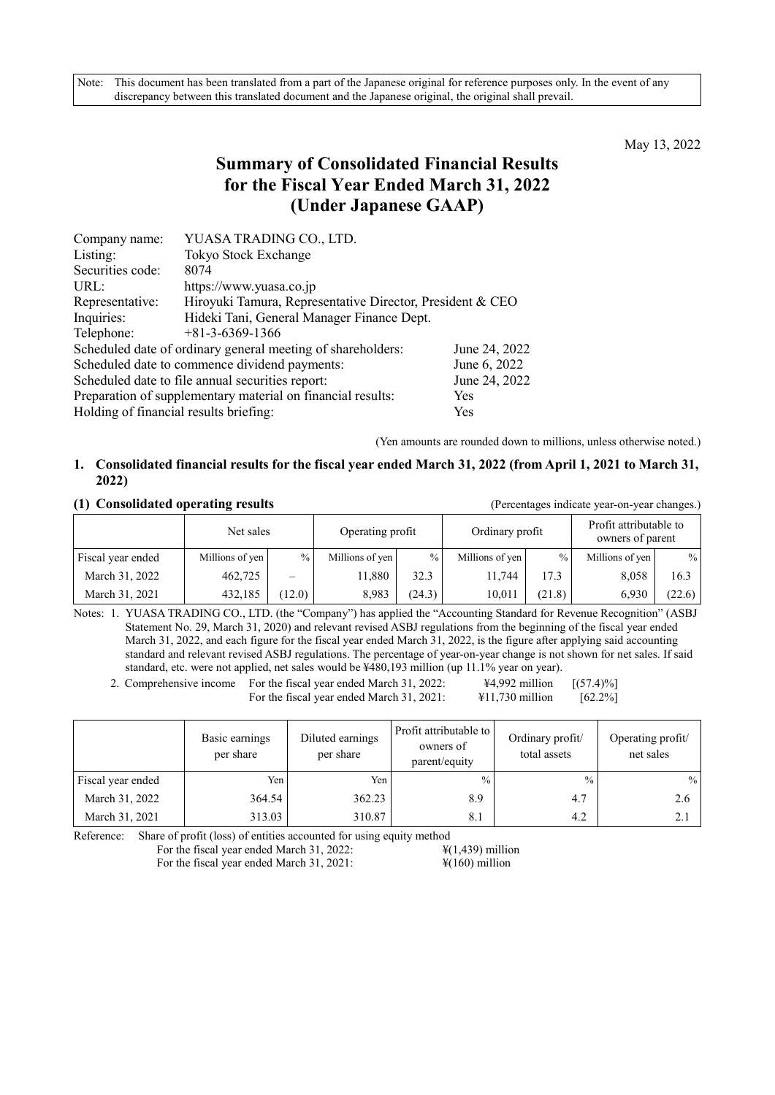Note: This document has been translated from a part of the Japanese original for reference purposes only. In the event of any discrepancy between this translated document and the Japanese original, the original shall prevail.

May 13, 2022

# **Summary of Consolidated Financial Results for the Fiscal Year Ended March 31, 2022 (Under Japanese GAAP)**

| Company name:                                                             | YUASA TRADING CO., LTD.                                     |               |  |  |  |  |
|---------------------------------------------------------------------------|-------------------------------------------------------------|---------------|--|--|--|--|
| Listing:                                                                  | Tokyo Stock Exchange                                        |               |  |  |  |  |
| Securities code:                                                          | 8074                                                        |               |  |  |  |  |
| URL:                                                                      | https://www.yuasa.co.jp                                     |               |  |  |  |  |
| Representative:                                                           | Hiroyuki Tamura, Representative Director, President & CEO   |               |  |  |  |  |
| Inquiries:                                                                | Hideki Tani, General Manager Finance Dept.                  |               |  |  |  |  |
| Telephone:                                                                | $+81-3-6369-1366$                                           |               |  |  |  |  |
|                                                                           | Scheduled date of ordinary general meeting of shareholders: | June 24, 2022 |  |  |  |  |
|                                                                           | Scheduled date to commence dividend payments:               | June 6, 2022  |  |  |  |  |
| June 24, 2022<br>Scheduled date to file annual securities report:         |                                                             |               |  |  |  |  |
| Preparation of supplementary material on financial results:<br><b>Yes</b> |                                                             |               |  |  |  |  |
| Holding of financial results briefing:                                    |                                                             | Yes           |  |  |  |  |

(Yen amounts are rounded down to millions, unless otherwise noted.)

# **1. Consolidated financial results for the fiscal year ended March 31, 2022 (from April 1, 2021 to March 31, 2022)**

### **(1) Consolidated operating results** (Percentages indicate year-on-year changes.)

|                   | Net sales       |               | Operating profit |               | Ordinary profit |        | Profit attributable to<br>owners of parent |        |
|-------------------|-----------------|---------------|------------------|---------------|-----------------|--------|--------------------------------------------|--------|
| Fiscal year ended | Millions of yen | $\frac{0}{0}$ | Millions of yen  | $\frac{0}{0}$ | Millions of yen | $\%$   | Millions of yen                            | $\%$   |
| March 31, 2022    | 462,725         |               | 11.880           | 32.3          | 1.744           | 17.3   | 8,058                                      | 16.3   |
| March 31, 2021    | 432,185         | (12.0)        | 8,983            | (24.3)        | 10,011          | (21.8) | 6,930                                      | (22.6) |

Notes: 1. YUASA TRADING CO., LTD. (the "Company") has applied the "Accounting Standard for Revenue Recognition" (ASBJ Statement No. 29, March 31, 2020) and relevant revised ASBJ regulations from the beginning of the fiscal year ended March 31, 2022, and each figure for the fiscal year ended March 31, 2022, is the figure after applying said accounting standard and relevant revised ASBJ regulations. The percentage of year-on-year change is not shown for net sales. If said standard, etc. were not applied, net sales would be ¥480,193 million (up 11.1% year on year).

2. Comprehensive income For the fiscal year ended March 31, 2022:  $\frac{\text{44,992 million}}{\text{44,992 million}}$  [(57.4)%] For the fiscal year ended March 31, 2021:  $\qquad \qquad \text{\#11,730 million} \qquad \text{[62.2\%]}$ 

|                   | Basic earnings<br>per share | Diluted earnings<br>per share | Profit attributable to<br>owners of<br>parent/equity | Ordinary profit/<br>total assets | Operating profit/<br>net sales |
|-------------------|-----------------------------|-------------------------------|------------------------------------------------------|----------------------------------|--------------------------------|
| Fiscal year ended | Yen                         | Yen                           | $\frac{0}{0}$                                        | $\frac{0}{0}$                    | $\%$                           |
| March 31, 2022    | 364.54                      | 362.23                        | 8.9                                                  | 4.7                              | 2.6                            |
| March 31, 2021    | 313.03                      | 310.87                        | 8.1                                                  | 4.2                              | 2.1                            |

Reference: Share of profit (loss) of entities accounted for using equity method

For the fiscal year ended March 31, 2022:  $\frac{\text{F}(1,439)}{1,439}$  million For the fiscal year ended March 31, 2021:  $\frac{\frac{1}{2}(160)}{100}$  million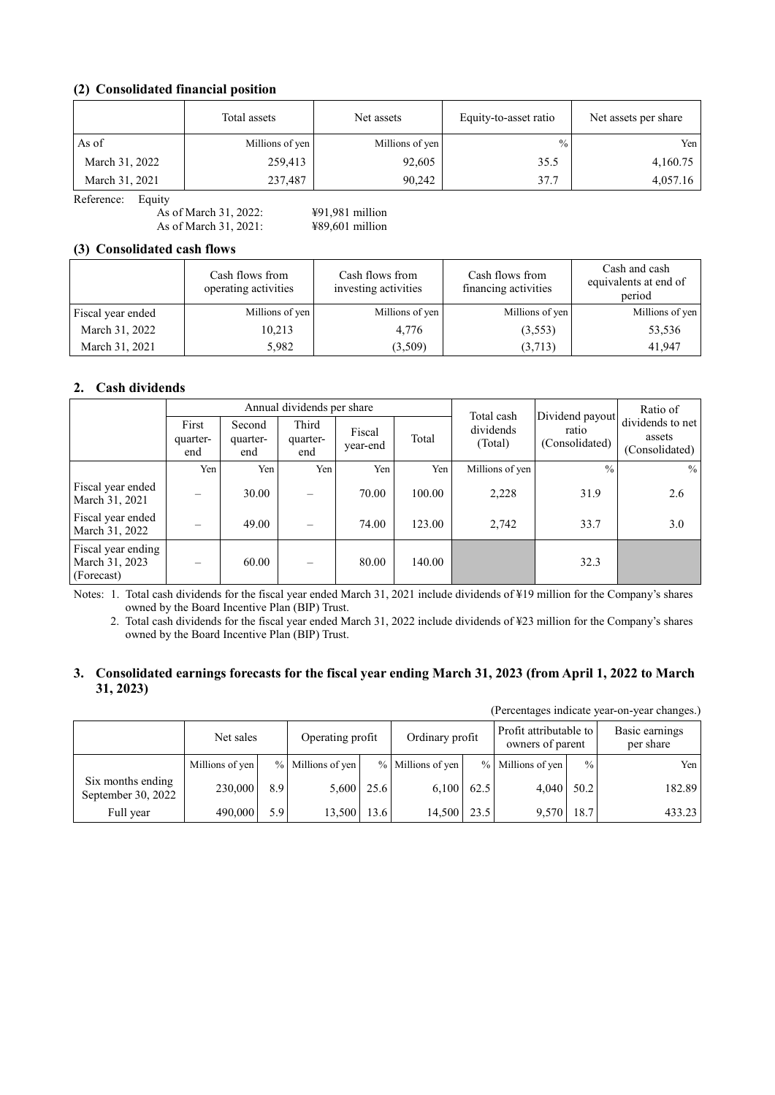# **(2) Consolidated financial position**

|                | Total assets    | Net assets<br>Equity-to-asset ratio |               | Net assets per share |  |
|----------------|-----------------|-------------------------------------|---------------|----------------------|--|
| As of          | Millions of yen | Millions of yen                     | $\frac{0}{0}$ | Yen                  |  |
| March 31, 2022 | 259,413         | 92,605                              | 35.5          | 4,160.75             |  |
| March 31, 2021 | 237,487         | 90.242                              | 37.7          | 4,057.16             |  |

Reference: Equity

As of March 31, 2022:  $\frac{$91,981 \text{ million}}{488,0601 \text{ million}}$ As of March 31, 2021:

# **(3) Consolidated cash flows**

|                   | Cash flows from<br>operating activities | Cash flows from<br>investing activities | Cash flows from<br>financing activities | Cash and cash<br>equivalents at end of<br>period |
|-------------------|-----------------------------------------|-----------------------------------------|-----------------------------------------|--------------------------------------------------|
| Fiscal year ended | Millions of yen                         | Millions of yen                         | Millions of yen                         | Millions of yen                                  |
| March 31, 2022    | 10,213                                  | 4.776                                   | (3,553)                                 | 53,536                                           |
| March 31, 2021    | 5,982                                   | (3,509)                                 | (3,713)                                 | 41,947                                           |

# **2. Cash dividends**

|                                                    |                          |                           | Annual dividends per share |                    |        | Ratio of<br>Total cash |                                            |                                              |  |
|----------------------------------------------------|--------------------------|---------------------------|----------------------------|--------------------|--------|------------------------|--------------------------------------------|----------------------------------------------|--|
|                                                    | First<br>quarter-<br>end | Second<br>quarter-<br>end | Third<br>quarter-<br>end   | Fiscal<br>year-end | Total  | dividends<br>(Total)   | Dividend payout<br>ratio<br>(Consolidated) | dividends to net<br>assets<br>(Consolidated) |  |
|                                                    | Yen                      | Yen                       | Yen                        | Yen                | Yen    | Millions of yen        | $\frac{0}{0}$                              | $\%$                                         |  |
| Fiscal year ended<br>March 31, 2021                |                          | 30.00                     | $\overline{\phantom{0}}$   | 70.00              | 100.00 | 2,228                  | 31.9                                       | 2.6                                          |  |
| Fiscal year ended<br>March 31, 2022                |                          | 49.00                     | $\overline{\phantom{0}}$   | 74.00              | 123.00 | 2,742                  | 33.7                                       | 3.0                                          |  |
| Fiscal year ending<br>March 31, 2023<br>(Forecast) |                          | 60.00                     |                            | 80.00              | 140.00 |                        | 32.3                                       |                                              |  |

Notes: 1. Total cash dividends for the fiscal year ended March 31, 2021 include dividends of ¥19 million for the Company's shares owned by the Board Incentive Plan (BIP) Trust.

2. Total cash dividends for the fiscal year ended March 31, 2022 include dividends of ¥23 million for the Company's shares owned by the Board Incentive Plan (BIP) Trust.

## **3. Consolidated earnings forecasts for the fiscal year ending March 31, 2023 (from April 1, 2022 to March 31, 2023)**

(Percentages indicate year-on-year changes.)

|                                         | Net sales       |     | Operating profit  |      | Ordinary profit   |      | Profit attributable to<br>owners of parent |               | Basic earnings<br>per share |  |
|-----------------------------------------|-----------------|-----|-------------------|------|-------------------|------|--------------------------------------------|---------------|-----------------------------|--|
|                                         | Millions of yen |     | % Millions of yen |      | % Millions of yen |      | % Millions of yen                          | $\frac{0}{0}$ | Yen                         |  |
| Six months ending<br>September 30, 2022 | 230,000         | 8.9 | 5,600             | 25.6 | 6,100             | 62.5 |                                            | $4,040$ 50.2  | 182.89                      |  |
| Full year                               | 490,000         | 5.9 | 13,500            | 13.6 | 14.500            | 23.5 | 9.570                                      | 18.7          | 433.23                      |  |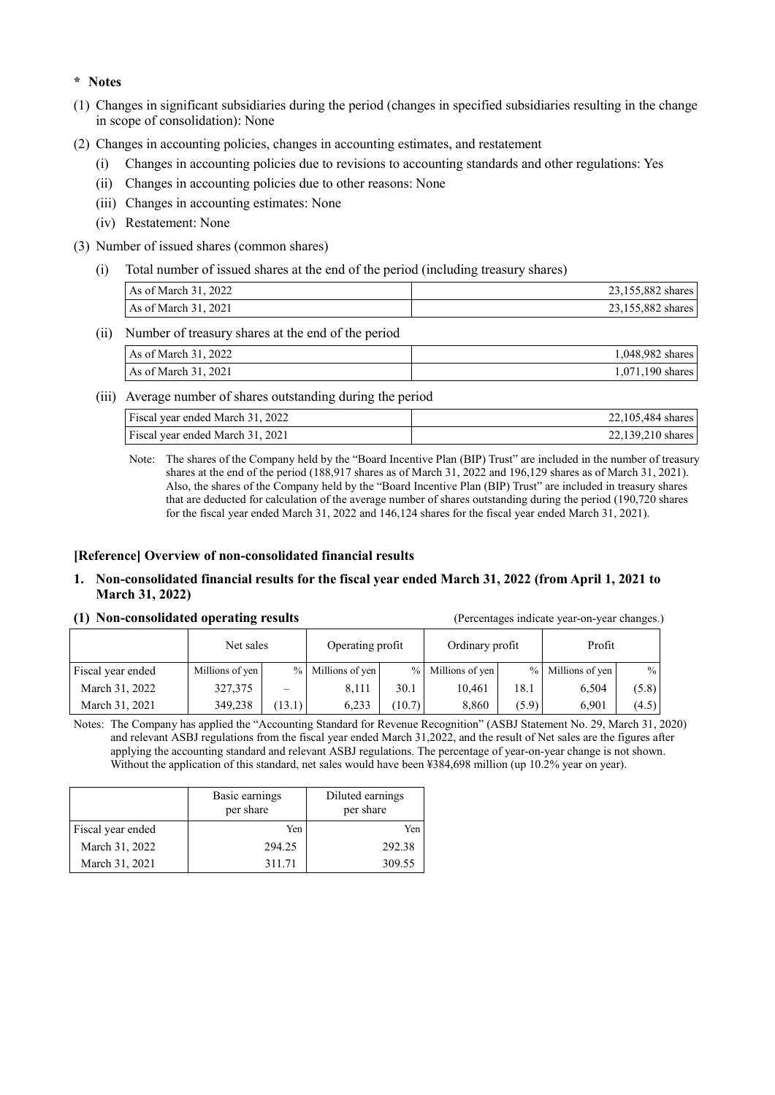# **\* Notes**

- (1) Changes in significant subsidiaries during the period (changes in specified subsidiaries resulting in the change in scope of consolidation): None
- (2) Changes in accounting policies, changes in accounting estimates, and restatement
	- (i) Changes in accounting policies due to revisions to accounting standards and other regulations: Yes
	- (ii) Changes in accounting policies due to other reasons: None
	- (iii) Changes in accounting estimates: None
	- (iv) Restatement: None
- (3) Number of issued shares (common shares)
	- (i) Total number of issued shares at the end of the period (including treasury shares)

| As of March 31, 2022 | 23,155,882 shares |
|----------------------|-------------------|
| As of March 31, 2021 | 23,155,882 shares |

(ii) Number of treasury shares at the end of the period

| As of March 31, 2022          | 1,048,982 shares   |
|-------------------------------|--------------------|
| $\text{As}$ of March 31, 2021 | $1,071,190$ shares |

(iii) Average number of shares outstanding during the period

| Fiscal year ended March 31, 2022 | 22,105,484 shares |
|----------------------------------|-------------------|
| Fiscal year ended March 31, 2021 | 22,139,210 shares |

Note: The shares of the Company held by the "Board Incentive Plan (BIP) Trust" are included in the number of treasury shares at the end of the period (188,917 shares as of March 31, 2022 and 196,129 shares as of March 31, 2021). Also, the shares of the Company held by the "Board Incentive Plan (BIP) Trust" are included in treasury shares that are deducted for calculation of the average number of shares outstanding during the period (190,720 shares for the fiscal year ended March 31, 2022 and 146,124 shares for the fiscal year ended March 31, 2021).

# **[Reference] Overview of non-consolidated financial results**

### **1. Non-consolidated financial results for the fiscal year ended March 31, 2022 (from April 1, 2021 to March 31, 2022)**

#### **(1) Non-consolidated operating results** (Percentages indicate year-on-year changes.)

|                   | Net sales       |        |                   | Operating profit |                   | Ordinary profit |                   |       |
|-------------------|-----------------|--------|-------------------|------------------|-------------------|-----------------|-------------------|-------|
| Fiscal year ended | Millions of yen |        | % Millions of yen |                  | % Millions of yen |                 | % Millions of yen | $\%$  |
| March 31, 2022    | 327,375         |        | 8.111             | 30.1             | 10.461            | 18.1            | 6.504             | (5.8) |
| March 31, 2021    | 349,238         | (13.1) | 6.233             | (10.7)           | 8.860             | (5.9)           | 6.901             | (4.5) |

Notes: The Company has applied the "Accounting Standard for Revenue Recognition" (ASBJ Statement No. 29, March 31, 2020) and relevant ASBJ regulations from the fiscal year ended March 31,2022, and the result of Net sales are the figures after applying the accounting standard and relevant ASBJ regulations. The percentage of year-on-year change is not shown. Without the application of this standard, net sales would have been ¥384,698 million (up 10.2% year on year).

|                   | Basic earnings<br>per share | Diluted earnings<br>per share |
|-------------------|-----------------------------|-------------------------------|
| Fiscal year ended | Yen                         | Yen.                          |
| March 31, 2022    | 294.25                      | 292.38                        |
| March 31, 2021    | 311.71                      | 309.55                        |